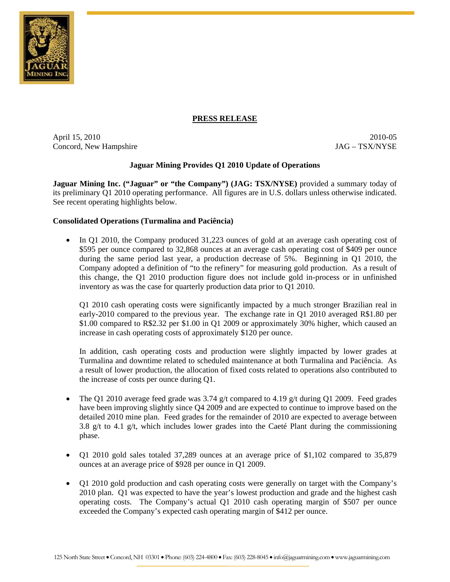

## **PRESS RELEASE**

April 15, 2010 2010-05 Concord, New Hampshire  $JAG - TSX/NYSE$ 

# **Jaguar Mining Provides Q1 2010 Update of Operations**

**Jaguar Mining Inc. ("Jaguar" or "the Company") (JAG: TSX/NYSE)** provided a summary today of its preliminary Q1 2010 operating performance. All figures are in U.S. dollars unless otherwise indicated. See recent operating highlights below.

### **Consolidated Operations (Turmalina and Paciência)**

• In Q1 2010, the Company produced 31,223 ounces of gold at an average cash operating cost of \$595 per ounce compared to 32,868 ounces at an average cash operating cost of \$409 per ounce during the same period last year, a production decrease of 5%. Beginning in Q1 2010, the Company adopted a definition of "to the refinery" for measuring gold production. As a result of this change, the Q1 2010 production figure does not include gold in-process or in unfinished inventory as was the case for quarterly production data prior to Q1 2010.

Q1 2010 cash operating costs were significantly impacted by a much stronger Brazilian real in early-2010 compared to the previous year. The exchange rate in Q1 2010 averaged R\$1.80 per \$1.00 compared to R\$2.32 per \$1.00 in Q1 2009 or approximately 30% higher, which caused an increase in cash operating costs of approximately \$120 per ounce.

In addition, cash operating costs and production were slightly impacted by lower grades at Turmalina and downtime related to scheduled maintenance at both Turmalina and Paciência. As a result of lower production, the allocation of fixed costs related to operations also contributed to the increase of costs per ounce during Q1.

- The Q1 2010 average feed grade was 3.74  $g/t$  compared to 4.19  $g/t$  during Q1 2009. Feed grades have been improving slightly since Q4 2009 and are expected to continue to improve based on the detailed 2010 mine plan. Feed grades for the remainder of 2010 are expected to average between 3.8  $g/t$  to 4.1  $g/t$ , which includes lower grades into the Caeté Plant during the commissioning phase.
- Q1 2010 gold sales totaled 37,289 ounces at an average price of \$1,102 compared to 35,879 ounces at an average price of \$928 per ounce in Q1 2009.
- Q1 2010 gold production and cash operating costs were generally on target with the Company's 2010 plan. Q1 was expected to have the year's lowest production and grade and the highest cash operating costs. The Company's actual Q1 2010 cash operating margin of \$507 per ounce exceeded the Company's expected cash operating margin of \$412 per ounce.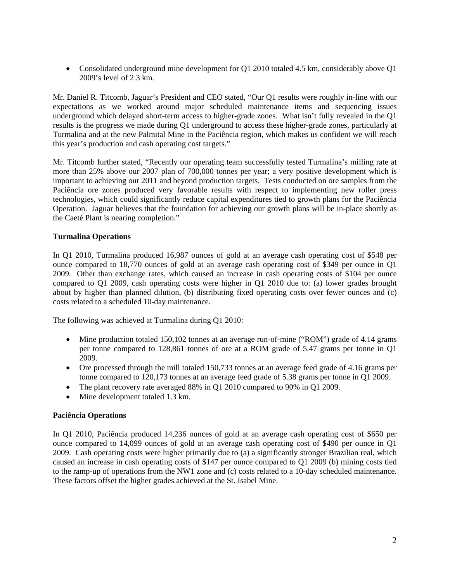• Consolidated underground mine development for Q1 2010 totaled 4.5 km, considerably above Q1 2009's level of 2.3 km.

Mr. Daniel R. Titcomb, Jaguar's President and CEO stated, "Our Q1 results were roughly in-line with our expectations as we worked around major scheduled maintenance items and sequencing issues underground which delayed short-term access to higher-grade zones. What isn't fully revealed in the Q1 results is the progress we made during Q1 underground to access these higher-grade zones, particularly at Turmalina and at the new Palmital Mine in the Paciência region, which makes us confident we will reach this year's production and cash operating cost targets."

Mr. Titcomb further stated, "Recently our operating team successfully tested Turmalina's milling rate at more than 25% above our 2007 plan of 700,000 tonnes per year; a very positive development which is important to achieving our 2011 and beyond production targets. Tests conducted on ore samples from the Paciência ore zones produced very favorable results with respect to implementing new roller press technologies, which could significantly reduce capital expenditures tied to growth plans for the Paciência Operation. Jaguar believes that the foundation for achieving our growth plans will be in-place shortly as the Caeté Plant is nearing completion."

# **Turmalina Operations**

In Q1 2010, Turmalina produced 16,987 ounces of gold at an average cash operating cost of \$548 per ounce compared to 18,770 ounces of gold at an average cash operating cost of \$349 per ounce in Q1 2009. Other than exchange rates, which caused an increase in cash operating costs of \$104 per ounce compared to Q1 2009, cash operating costs were higher in Q1 2010 due to: (a) lower grades brought about by higher than planned dilution, (b) distributing fixed operating costs over fewer ounces and (c) costs related to a scheduled 10-day maintenance.

The following was achieved at Turmalina during Q1 2010:

- Mine production totaled 150,102 tonnes at an average run-of-mine ("ROM") grade of 4.14 grams per tonne compared to 128,861 tonnes of ore at a ROM grade of 5.47 grams per tonne in Q1 2009.
- Ore processed through the mill totaled 150,733 tonnes at an average feed grade of 4.16 grams per tonne compared to 120,173 tonnes at an average feed grade of 5.38 grams per tonne in Q1 2009.
- The plant recovery rate averaged 88% in Q1 2010 compared to 90% in Q1 2009.
- Mine development totaled 1.3 km.

## **Paciência Operations**

In Q1 2010, Paciência produced 14,236 ounces of gold at an average cash operating cost of \$650 per ounce compared to 14,099 ounces of gold at an average cash operating cost of \$490 per ounce in Q1 2009. Cash operating costs were higher primarily due to (a) a significantly stronger Brazilian real, which caused an increase in cash operating costs of \$147 per ounce compared to Q1 2009 (b) mining costs tied to the ramp-up of operations from the NW1 zone and (c) costs related to a 10-day scheduled maintenance. These factors offset the higher grades achieved at the St. Isabel Mine.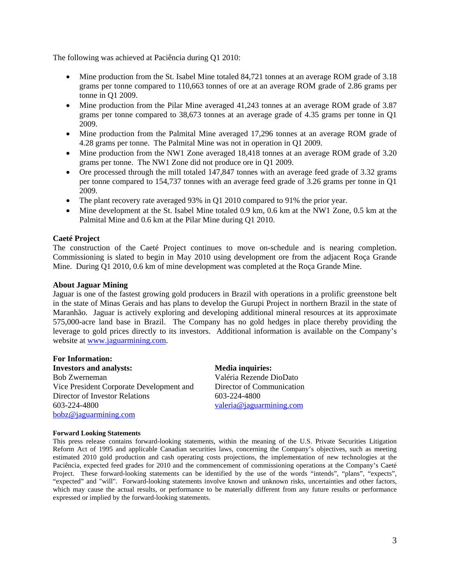The following was achieved at Paciência during Q1 2010:

- Mine production from the St. Isabel Mine totaled 84,721 tonnes at an average ROM grade of 3.18 grams per tonne compared to 110,663 tonnes of ore at an average ROM grade of 2.86 grams per tonne in Q1 2009.
- Mine production from the Pilar Mine averaged 41,243 tonnes at an average ROM grade of 3.87 grams per tonne compared to 38,673 tonnes at an average grade of 4.35 grams per tonne in Q1 2009.
- Mine production from the Palmital Mine averaged 17,296 tonnes at an average ROM grade of 4.28 grams per tonne. The Palmital Mine was not in operation in Q1 2009.
- Mine production from the NW1 Zone averaged 18,418 tonnes at an average ROM grade of 3.20 grams per tonne. The NW1 Zone did not produce ore in Q1 2009.
- Ore processed through the mill totaled 147,847 tonnes with an average feed grade of 3.32 grams per tonne compared to 154,737 tonnes with an average feed grade of 3.26 grams per tonne in Q1 2009.
- The plant recovery rate averaged 93% in Q1 2010 compared to 91% the prior year.
- Mine development at the St. Isabel Mine totaled 0.9 km, 0.6 km at the NW1 Zone, 0.5 km at the Palmital Mine and 0.6 km at the Pilar Mine during Q1 2010.

## **Caeté Project**

The construction of the Caeté Project continues to move on-schedule and is nearing completion. Commissioning is slated to begin in May 2010 using development ore from the adjacent Roça Grande Mine. During Q1 2010, 0.6 km of mine development was completed at the Roça Grande Mine.

### **About Jaguar Mining**

Jaguar is one of the fastest growing gold producers in Brazil with operations in a prolific greenstone belt in the state of Minas Gerais and has plans to develop the Gurupi Project in northern Brazil in the state of Maranhão. Jaguar is actively exploring and developing additional mineral resources at its approximate 575,000-acre land base in Brazil. The Company has no gold hedges in place thereby providing the leverage to gold prices directly to its investors. Additional information is available on the Company's website at www.jaguarmining.com.

#### **For Information:**

**Investors and analysts: Media inquiries:** Bob Zwerneman Vice President Corporate Development and Director of Investor Relations 603-224-4800 bobz@jaguarmining.com

Valéria Rezende DioDato Director of Communication 603-224-4800 valeria@jaguarmining.com

#### **Forward Looking Statements**

This press release contains forward-looking statements, within the meaning of the U.S. Private Securities Litigation Reform Act of 1995 and applicable Canadian securities laws, concerning the Company's objectives, such as meeting estimated 2010 gold production and cash operating costs projections, the implementation of new technologies at the Paciência, expected feed grades for 2010 and the commencement of commissioning operations at the Company's Caeté Project. These forward-looking statements can be identified by the use of the words "intends", "plans", "expects", "expected" and "will". Forward-looking statements involve known and unknown risks, uncertainties and other factors, which may cause the actual results, or performance to be materially different from any future results or performance expressed or implied by the forward-looking statements.